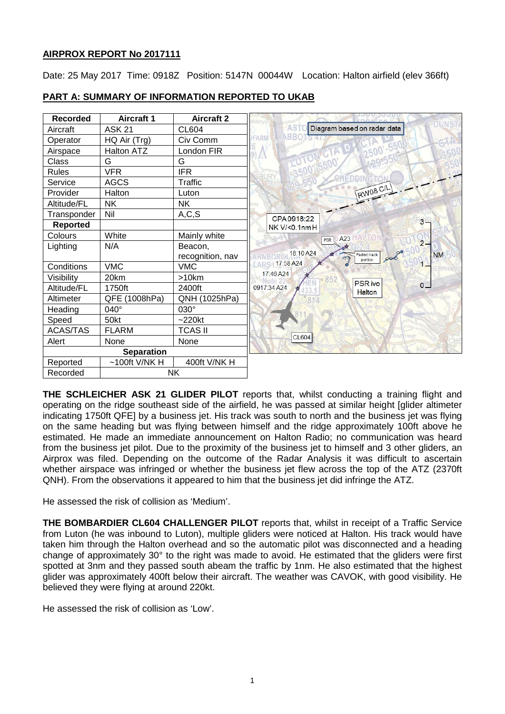## **AIRPROX REPORT No 2017111**

Date: 25 May 2017 Time: 0918Z Position: 5147N 00044W Location: Halton airfield (elev 366ft)



## **PART A: SUMMARY OF INFORMATION REPORTED TO UKAB**

**THE SCHLEICHER ASK 21 GLIDER PILOT** reports that, whilst conducting a training flight and operating on the ridge southeast side of the airfield, he was passed at similar height [glider altimeter indicating 1750ft QFE] by a business jet. His track was south to north and the business jet was flying on the same heading but was flying between himself and the ridge approximately 100ft above he estimated. He made an immediate announcement on Halton Radio; no communication was heard from the business jet pilot. Due to the proximity of the business jet to himself and 3 other gliders, an Airprox was filed. Depending on the outcome of the Radar Analysis it was difficult to ascertain whether airspace was infringed or whether the business jet flew across the top of the ATZ (2370ft QNH). From the observations it appeared to him that the business jet did infringe the ATZ.

He assessed the risk of collision as 'Medium'.

**THE BOMBARDIER CL604 CHALLENGER PILOT** reports that, whilst in receipt of a Traffic Service from Luton (he was inbound to Luton), multiple gliders were noticed at Halton. His track would have taken him through the Halton overhead and so the automatic pilot was disconnected and a heading change of approximately 30° to the right was made to avoid. He estimated that the gliders were first spotted at 3nm and they passed south abeam the traffic by 1nm. He also estimated that the highest glider was approximately 400ft below their aircraft. The weather was CAVOK, with good visibility. He believed they were flying at around 220kt.

He assessed the risk of collision as 'Low'.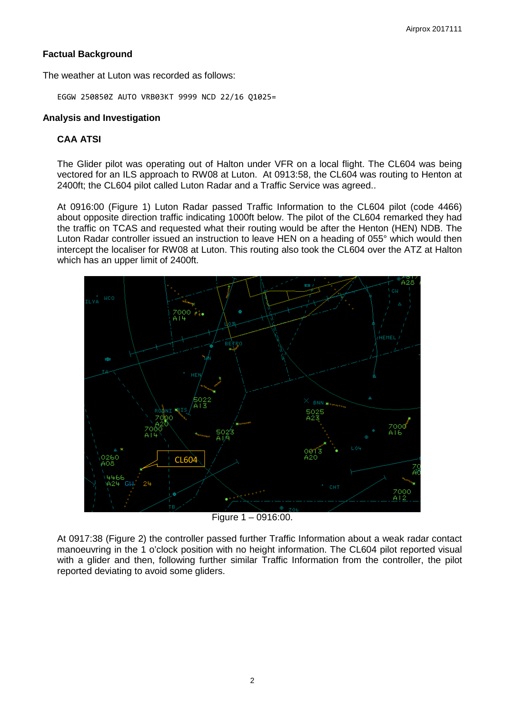## **Factual Background**

The weather at Luton was recorded as follows:

EGGW 250850Z AUTO VRB03KT 9999 NCD 22/16 Q1025=

## **Analysis and Investigation**

# **CAA ATSI**

The Glider pilot was operating out of Halton under VFR on a local flight. The CL604 was being vectored for an ILS approach to RW08 at Luton. At 0913:58, the CL604 was routing to Henton at 2400ft; the CL604 pilot called Luton Radar and a Traffic Service was agreed..

At 0916:00 (Figure 1) Luton Radar passed Traffic Information to the CL604 pilot (code 4466) about opposite direction traffic indicating 1000ft below. The pilot of the CL604 remarked they had the traffic on TCAS and requested what their routing would be after the Henton (HEN) NDB. The Luton Radar controller issued an instruction to leave HEN on a heading of 055° which would then intercept the localiser for RW08 at Luton. This routing also took the CL604 over the ATZ at Halton which has an upper limit of 2400ft.



Figure 1 – 0916:00.

At 0917:38 (Figure 2) the controller passed further Traffic Information about a weak radar contact manoeuvring in the 1 o'clock position with no height information. The CL604 pilot reported visual with a glider and then, following further similar Traffic Information from the controller, the pilot reported deviating to avoid some gliders.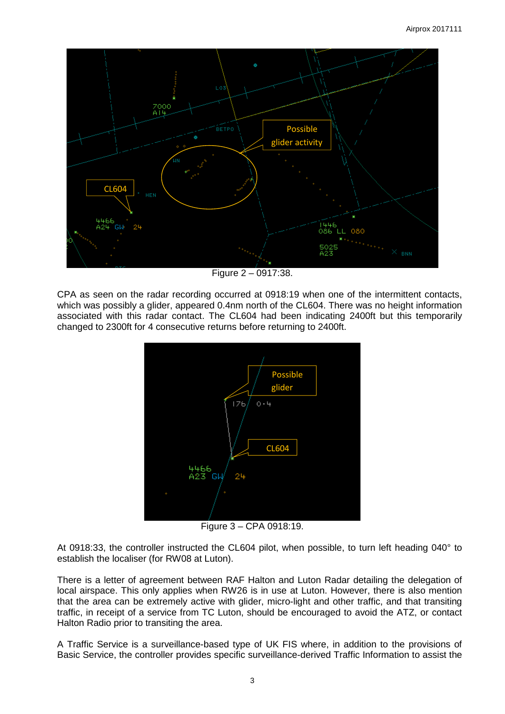

Figure 2 – 0917:38.

CPA as seen on the radar recording occurred at 0918:19 when one of the intermittent contacts, which was possibly a glider, appeared 0.4nm north of the CL604. There was no height information associated with this radar contact. The CL604 had been indicating 2400ft but this temporarily changed to 2300ft for 4 consecutive returns before returning to 2400ft.



Figure 3 – CPA 0918:19.

At 0918:33, the controller instructed the CL604 pilot, when possible, to turn left heading 040° to establish the localiser (for RW08 at Luton).

There is a letter of agreement between RAF Halton and Luton Radar detailing the delegation of local airspace. This only applies when RW26 is in use at Luton. However, there is also mention that the area can be extremely active with glider, micro-light and other traffic, and that transiting traffic, in receipt of a service from TC Luton, should be encouraged to avoid the ATZ, or contact Halton Radio prior to transiting the area.

A Traffic Service is a surveillance-based type of UK FIS where, in addition to the provisions of Basic Service, the controller provides specific surveillance-derived Traffic Information to assist the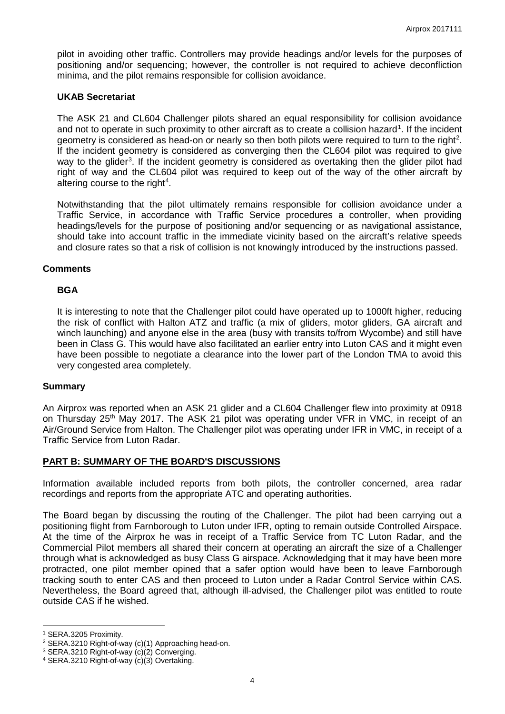pilot in avoiding other traffic. Controllers may provide headings and/or levels for the purposes of positioning and/or sequencing; however, the controller is not required to achieve deconfliction minima, and the pilot remains responsible for collision avoidance.

### **UKAB Secretariat**

The ASK 21 and CL604 Challenger pilots shared an equal responsibility for collision avoidance and not to operate in such proximity to other aircraft as to create a collision hazard<sup>[1](#page-3-0)</sup>. If the incident geometry is considered as head-on or nearly so then both pilots were required to turn to the right<sup>[2](#page-3-1)</sup>. If the incident geometry is considered as converging then the CL604 pilot was required to give way to the glider<sup>[3](#page-3-2)</sup>. If the incident geometry is considered as overtaking then the glider pilot had right of way and the CL604 pilot was required to keep out of the way of the other aircraft by altering course to the right<sup>[4](#page-3-3)</sup>.

Notwithstanding that the pilot ultimately remains responsible for collision avoidance under a Traffic Service, in accordance with Traffic Service procedures a controller, when providing headings/levels for the purpose of positioning and/or sequencing or as navigational assistance, should take into account traffic in the immediate vicinity based on the aircraft's relative speeds and closure rates so that a risk of collision is not knowingly introduced by the instructions passed.

### **Comments**

## **BGA**

It is interesting to note that the Challenger pilot could have operated up to 1000ft higher, reducing the risk of conflict with Halton ATZ and traffic (a mix of gliders, motor gliders, GA aircraft and winch launching) and anyone else in the area (busy with transits to/from Wycombe) and still have been in Class G. This would have also facilitated an earlier entry into Luton CAS and it might even have been possible to negotiate a clearance into the lower part of the London TMA to avoid this very congested area completely.

### **Summary**

An Airprox was reported when an ASK 21 glider and a CL604 Challenger flew into proximity at 0918 on Thursday 25<sup>th</sup> May 2017. The ASK 21 pilot was operating under VFR in VMC, in receipt of an Air/Ground Service from Halton. The Challenger pilot was operating under IFR in VMC, in receipt of a Traffic Service from Luton Radar.

## **PART B: SUMMARY OF THE BOARD'S DISCUSSIONS**

Information available included reports from both pilots, the controller concerned, area radar recordings and reports from the appropriate ATC and operating authorities.

The Board began by discussing the routing of the Challenger. The pilot had been carrying out a positioning flight from Farnborough to Luton under IFR, opting to remain outside Controlled Airspace. At the time of the Airprox he was in receipt of a Traffic Service from TC Luton Radar, and the Commercial Pilot members all shared their concern at operating an aircraft the size of a Challenger through what is acknowledged as busy Class G airspace. Acknowledging that it may have been more protracted, one pilot member opined that a safer option would have been to leave Farnborough tracking south to enter CAS and then proceed to Luton under a Radar Control Service within CAS. Nevertheless, the Board agreed that, although ill-advised, the Challenger pilot was entitled to route outside CAS if he wished.

 $\overline{\phantom{a}}$ 

<span id="page-3-0"></span><sup>1</sup> SERA.3205 Proximity.

<span id="page-3-1"></span><sup>2</sup> SERA.3210 Right-of-way (c)(1) Approaching head-on.

<span id="page-3-2"></span><sup>3</sup> SERA.3210 Right-of-way (c)(2) Converging.

<span id="page-3-3"></span><sup>4</sup> SERA.3210 Right-of-way (c)(3) Overtaking.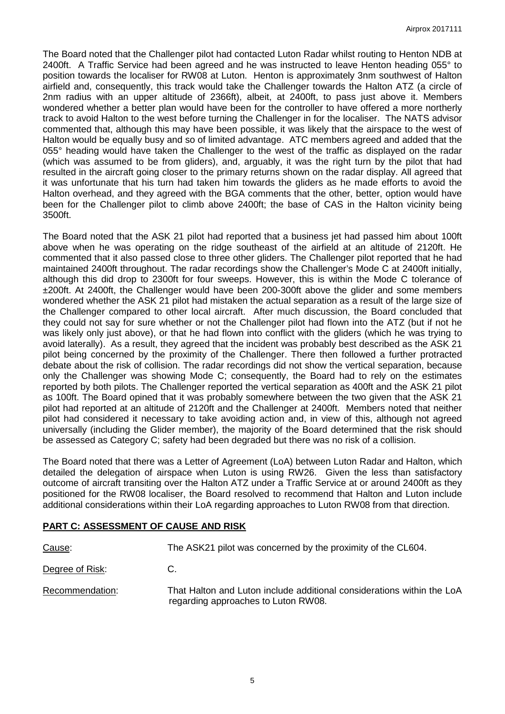The Board noted that the Challenger pilot had contacted Luton Radar whilst routing to Henton NDB at 2400ft. A Traffic Service had been agreed and he was instructed to leave Henton heading 055° to position towards the localiser for RW08 at Luton. Henton is approximately 3nm southwest of Halton airfield and, consequently, this track would take the Challenger towards the Halton ATZ (a circle of 2nm radius with an upper altitude of 2366ft), albeit, at 2400ft, to pass just above it. Members wondered whether a better plan would have been for the controller to have offered a more northerly track to avoid Halton to the west before turning the Challenger in for the localiser. The NATS advisor commented that, although this may have been possible, it was likely that the airspace to the west of Halton would be equally busy and so of limited advantage. ATC members agreed and added that the 055° heading would have taken the Challenger to the west of the traffic as displayed on the radar (which was assumed to be from gliders), and, arguably, it was the right turn by the pilot that had resulted in the aircraft going closer to the primary returns shown on the radar display. All agreed that it was unfortunate that his turn had taken him towards the gliders as he made efforts to avoid the Halton overhead, and they agreed with the BGA comments that the other, better, option would have been for the Challenger pilot to climb above 2400ft; the base of CAS in the Halton vicinity being 3500ft.

The Board noted that the ASK 21 pilot had reported that a business jet had passed him about 100ft above when he was operating on the ridge southeast of the airfield at an altitude of 2120ft. He commented that it also passed close to three other gliders. The Challenger pilot reported that he had maintained 2400ft throughout. The radar recordings show the Challenger's Mode C at 2400ft initially, although this did drop to 2300ft for four sweeps. However, this is within the Mode C tolerance of ±200ft. At 2400ft, the Challenger would have been 200-300ft above the glider and some members wondered whether the ASK 21 pilot had mistaken the actual separation as a result of the large size of the Challenger compared to other local aircraft. After much discussion, the Board concluded that they could not say for sure whether or not the Challenger pilot had flown into the ATZ (but if not he was likely only just above), or that he had flown into conflict with the gliders (which he was trying to avoid laterally). As a result, they agreed that the incident was probably best described as the ASK 21 pilot being concerned by the proximity of the Challenger. There then followed a further protracted debate about the risk of collision. The radar recordings did not show the vertical separation, because only the Challenger was showing Mode C; consequently, the Board had to rely on the estimates reported by both pilots. The Challenger reported the vertical separation as 400ft and the ASK 21 pilot as 100ft. The Board opined that it was probably somewhere between the two given that the ASK 21 pilot had reported at an altitude of 2120ft and the Challenger at 2400ft. Members noted that neither pilot had considered it necessary to take avoiding action and, in view of this, although not agreed universally (including the Glider member), the majority of the Board determined that the risk should be assessed as Category C; safety had been degraded but there was no risk of a collision.

The Board noted that there was a Letter of Agreement (LoA) between Luton Radar and Halton, which detailed the delegation of airspace when Luton is using RW26. Given the less than satisfactory outcome of aircraft transiting over the Halton ATZ under a Traffic Service at or around 2400ft as they positioned for the RW08 localiser, the Board resolved to recommend that Halton and Luton include additional considerations within their LoA regarding approaches to Luton RW08 from that direction.

### **PART C: ASSESSMENT OF CAUSE AND RISK**

| Cause:          | The ASK21 pilot was concerned by the proximity of the CL604.                                                  |
|-----------------|---------------------------------------------------------------------------------------------------------------|
| Degree of Risk: | C.                                                                                                            |
| Recommendation: | That Halton and Luton include additional considerations within the LoA<br>regarding approaches to Luton RW08. |